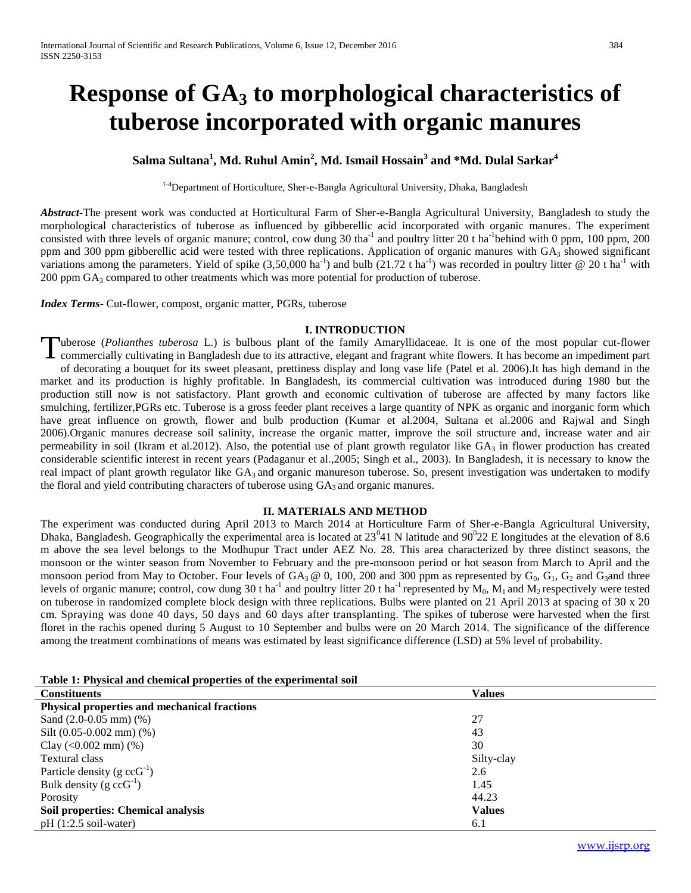# **Response of GA<sup>3</sup> to morphological characteristics of tuberose incorporated with organic manures**

**Salma Sultana<sup>1</sup> , Md. Ruhul Amin<sup>2</sup> , Md. Ismail Hossain<sup>3</sup> and \*Md. Dulal Sarkar<sup>4</sup>**

<sup>1-4</sup>Department of Horticulture, Sher-e-Bangla Agricultural University, Dhaka, Bangladesh

*Abstract-*The present work was conducted at Horticultural Farm of Sher-e-Bangla Agricultural University, Bangladesh to study the morphological characteristics of tuberose as influenced by gibberellic acid incorporated with organic manures. The experiment consisted with three levels of organic manure; control, cow dung 30 tha<sup>-1</sup> and poultry litter 20 t ha<sup>-1</sup>behind with 0 ppm, 100 ppm, 200 ppm and 300 ppm gibberellic acid were tested with three replications. Application of organic manures with GA<sub>3</sub> showed significant variations among the parameters. Yield of spike  $(3,50,000 \text{ ha}^{-1})$  and bulb  $(21.72 \text{ t ha}^{-1})$  was recorded in poultry litter @ 20 t ha<sup>-1</sup> with 200 ppm GA<sup>3</sup> compared to other treatments which was more potential for production of tuberose.

*Index Terms*- Cut-flower, compost, organic matter, PGRs, tuberose

#### **I. INTRODUCTION**

uberose (*Polianthes tuberosa* L.) is bulbous plant of the family Amaryllidaceae. It is one of the most popular cut-flower commercially cultivating in Bangladesh due to its attractive, elegant and fragrant white flowers. It has become an impediment part of decorating a bouquet for its sweet pleasant, prettiness display and long vase life (Patel et al*.* 2006).It has high demand in the market and its production is highly profitable. In Bangladesh, its commercial cultivation was introduced during 1980 but the production still now is not satisfactory. Plant growth and economic cultivation of tuberose are affected by many factors like smulching, fertilizer,PGRs etc. Tuberose is a gross feeder plant receives a large quantity of NPK as organic and inorganic form which have great influence on growth, flower and bulb production (Kumar et al.2004, Sultana et al.2006 and Rajwal and Singh 2006).Organic manures decrease soil salinity, increase the organic matter, improve the soil structure and, increase water and air permeability in soil (Ikram et al.2012). Also, the potential use of plant growth regulator like  $GA_3$  in flower production has created considerable scientific interest in recent years (Padaganur et al.,2005; Singh et al., 2003). In Bangladesh, it is necessary to know the real impact of plant growth regulator like GA<sub>3</sub> and organic manureson tuberose. So, present investigation was undertaken to modify the floral and yield contributing characters of tuberose using  $GA_3$  and organic manures. T

#### **II. MATERIALS AND METHOD**

The experiment was conducted during April 2013 to March 2014 at Horticulture Farm of Sher-e-Bangla Agricultural University, Dhaka, Bangladesh. Geographically the experimental area is located at  $23^041$  N latitude and  $90^022$  E longitudes at the elevation of 8.6 m above the sea level belongs to the Modhupur Tract under AEZ No. 28. This area characterized by three distinct seasons, the monsoon or the winter season from November to February and the pre-monsoon period or hot season from March to April and the monsoon period from May to October. Four levels of  $GA_3 \otimes 0$ , 100, 200 and 300 ppm as represented by  $G_0$ ,  $G_1$ ,  $G_2$  and  $G_3$ and three levels of organic manure; control, cow dung 30 t ha<sup>-1</sup> and poultry litter 20 t ha<sup>-1</sup> represented by  $M_0$ ,  $M_1$  and  $M_2$  respectively were tested on tuberose in randomized complete block design with three replications. Bulbs were planted on 21 April 2013 at spacing of 30 x 20 cm. Spraying was done 40 days, 50 days and 60 days after transplanting. The spikes of tuberose were harvested when the first floret in the rachis opened during 5 August to 10 September and bulbs were on 20 March 2014. The significance of the difference among the treatment combinations of means was estimated by least significance difference (LSD) at 5% level of probability.

|  |  |  | Table 1: Physical and chemical properties of the experimental soil |  |
|--|--|--|--------------------------------------------------------------------|--|
|  |  |  |                                                                    |  |

| <b>Constituents</b>                          | Values        |
|----------------------------------------------|---------------|
| Physical properties and mechanical fractions |               |
| Sand $(2.0-0.05$ mm $)$ $(\%)$               | 27            |
| Silt $(0.05-0.002 \text{ mm})$ $(\%)$        | 43            |
| Clay $(<0.002$ mm $)$ $%$                    | 30            |
| Textural class                               | Silty-clay    |
| Particle density $(g \text{cc}G^{-1})$       | 2.6           |
| Bulk density $(g \text{cc}G^{-1})$           | 1.45          |
| Porosity                                     | 44.23         |
| Soil properties: Chemical analysis           | <b>Values</b> |
| $pH(1:2.5)$ soil-water)                      | 6.1           |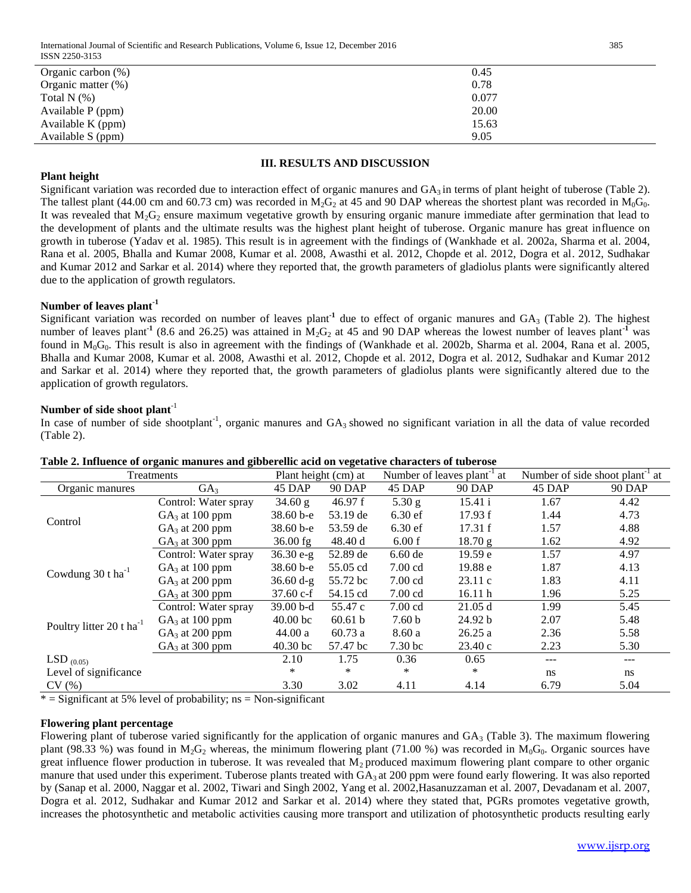| Organic carbon $(\%)$ | 0.45  |
|-----------------------|-------|
| Organic matter $(\%)$ | 0.78  |
| Total N $(\%)$        | 0.077 |
| Available P (ppm)     | 20.00 |
| Available K (ppm)     | 15.63 |
| Available S (ppm)     | 9.05  |

#### **III. RESULTS AND DISCUSSION**

## **Plant height**

Significant variation was recorded due to interaction effect of organic manures and  $GA_3$  in terms of plant height of tuberose (Table 2). The tallest plant (44.00 cm and 60.73 cm) was recorded in M<sub>2</sub>G<sub>2</sub> at 45 and 90 DAP whereas the shortest plant was recorded in M<sub>0</sub>G<sub>0</sub>. It was revealed that  $M_2G_2$  ensure maximum vegetative growth by ensuring organic manure immediate after germination that lead to the development of plants and the ultimate results was the highest plant height of tuberose. Organic manure has great influence on growth in tuberose (Yadav et al. 1985). This result is in agreement with the findings of (Wankhade et al. 2002a, Sharma et al. 2004, Rana et al. 2005, Bhalla and Kumar 2008, Kumar et al. 2008, Awasthi et al. 2012, Chopde et al. 2012, Dogra et al. 2012, Sudhakar and Kumar 2012 and Sarkar et al. 2014) where they reported that, the growth parameters of gladiolus plants were significantly altered due to the application of growth regulators.

## **Number of leaves plant-1**

Significant variation was recorded on number of leaves plant<sup>1</sup> due to effect of organic manures and GA<sub>3</sub> (Table 2). The highest number of leaves plant<sup>-1</sup> (8.6 and 26.25) was attained in  $M_2G_2$  at 45 and 90 DAP whereas the lowest number of leaves plant<sup>-1</sup> was found in  $M_0G_0$ . This result is also in agreement with the findings of (Wankhade et al. 2002b, Sharma et al. 2004, Rana et al. 2005, Bhalla and Kumar 2008, Kumar et al. 2008, Awasthi et al. 2012, Chopde et al. 2012, Dogra et al. 2012, Sudhakar and Kumar 2012 and Sarkar et al. 2014) where they reported that, the growth parameters of gladiolus plants were significantly altered due to the application of growth regulators.

## **Number of side shoot plant**-1

In case of number of side shootplant<sup>-1</sup>, organic manures and  $GA_3$  showed no significant variation in all the data of value recorded (Table 2).

| Treatments                           | Plant height (cm) at |               | Number of leaves plant <sup>-1</sup> at |                    | Number of side shoot plant <sup>-1</sup> at |               |               |
|--------------------------------------|----------------------|---------------|-----------------------------------------|--------------------|---------------------------------------------|---------------|---------------|
| Organic manures                      | GA <sub>3</sub>      | 45 DAP        | <b>90 DAP</b>                           | 45 DAP             | 90 DAP                                      | 45 DAP        | <b>90 DAP</b> |
|                                      | Control: Water spray | 34.60 g       | 46.97 f                                 | 5.30 g             | 15.41 i                                     | 1.67          | 4.42          |
| Control                              | $GA_3$ at 100 ppm    | $38.60 b - e$ | 53.19 de                                | $6.30$ ef          | 17.93 f                                     | 1.44          | 4.73          |
|                                      | $GA3$ at 200 ppm     | 38.60 b-e     | 53.59 de                                | $6.30$ ef          | 17.31 f                                     | 1.57          | 4.88          |
|                                      | $GA_3$ at 300 ppm    | $36.00$ fg    | 48.40 d                                 | 6.00 f             | 18.70 g                                     | 1.62          | 4.92          |
|                                      | Control: Water spray | $36.30 e-g$   | 52.89 de                                | $6.60$ de          | 19.59 e                                     | 1.57          | 4.97          |
| Cowdung $30$ t ha <sup>-1</sup>      | $GA_3$ at 100 ppm    | 38.60 b-e     | 55.05 cd                                | $7.00 \text{ cd}$  | 19.88 e                                     | 1.87          | 4.13          |
|                                      | $GA3$ at 200 ppm     | $36.60 d-g$   | 55.72 bc                                | $7.00 \text{ cd}$  | 23.11c                                      | 1.83          | 4.11          |
|                                      | $GA_3$ at 300 ppm    | $37.60 c-f$   | 54.15 cd                                | $7.00 \text{ cd}$  | 16.11h                                      | 1.96          | 5.25          |
|                                      | Control: Water spray | $39.00b-d$    | 55.47 c                                 | $7.00 \text{ cd}$  | 21.05 d                                     | 1.99          | 5.45          |
| Poultry litter 20 t ha <sup>-1</sup> | $GA_3$ at 100 ppm    | $40.00$ bc    | 60.61 b                                 | 7.60 <sub>b</sub>  | 24.92 b                                     | 2.07          | 5.48          |
|                                      | $GA3$ at 200 ppm     | 44.00a        | 60.73a                                  | 8.60a              | 26.25a                                      | 2.36          | 5.58          |
|                                      | $GA3$ at 300 ppm     | $40.30$ bc    | 57.47 bc                                | 7.30 <sub>bc</sub> | 23.40c                                      | 2.23          | 5.30          |
| LSD $_{(0.05)}$                      |                      | 2.10          | 1.75                                    | 0.36               | 0.65                                        | ---           |               |
| Level of significance                |                      | $\ast$        | $\ast$                                  | *                  | *                                           | <sub>ns</sub> | ns            |
| CV(%)                                |                      | 3.30          | 3.02                                    | 4.11               | 4.14                                        | 6.79          | 5.04          |

#### **Table 2. Influence of organic manures and gibberellic acid on vegetative characters of tuberose**

 $*$  = Significant at 5% level of probability; ns = Non-significant

### **Flowering plant percentage**

Flowering plant of tuberose varied significantly for the application of organic manures and  $GA_3$  (Table 3). The maximum flowering plant (98.33 %) was found in  $M_2G_2$  whereas, the minimum flowering plant (71.00 %) was recorded in  $M_0G_0$ . Organic sources have great influence flower production in tuberose. It was revealed that  $M_2$  produced maximum flowering plant compare to other organic manure that used under this experiment. Tuberose plants treated with  $GA_3$  at 200 ppm were found early flowering. It was also reported by (Sanap et al. 2000, Naggar et al. 2002, Tiwari and Singh 2002, Yang et al. 2002,Hasanuzzaman et al. 2007, Devadanam et al. 2007, Dogra et al. 2012, Sudhakar and Kumar 2012 and Sarkar et al. 2014) where they stated that, PGRs promotes vegetative growth, increases the photosynthetic and metabolic activities causing more transport and utilization of photosynthetic products resulting early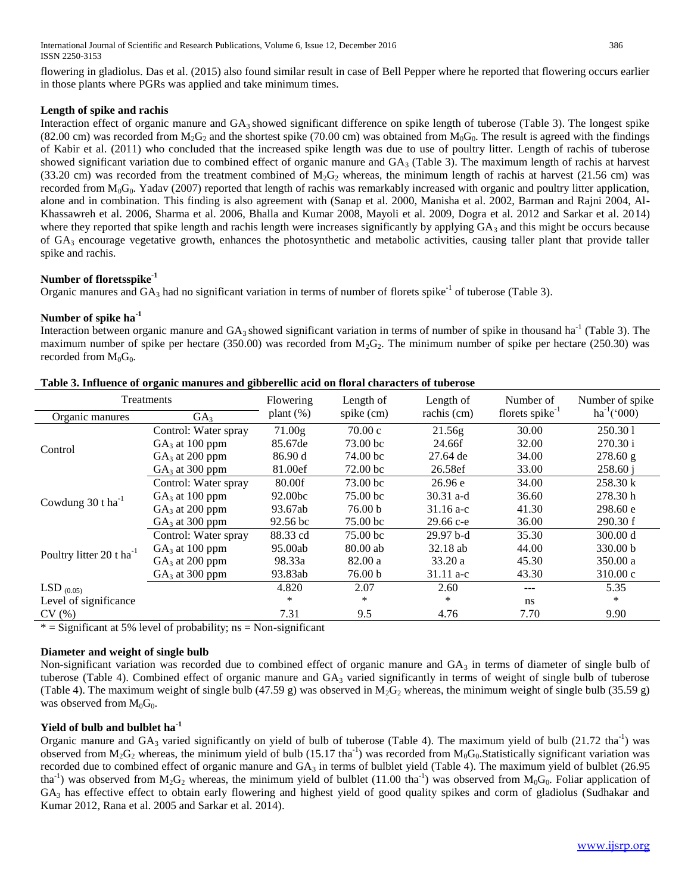flowering in gladiolus. Das et al. (2015) also found similar result in case of Bell Pepper where he reported that flowering occurs earlier in those plants where PGRs was applied and take minimum times.

## **Length of spike and rachis**

Interaction effect of organic manure and GA3 showed significant difference on spike length of tuberose (Table 3). The longest spike (82.00 cm) was recorded from  $M_2G_2$  and the shortest spike (70.00 cm) was obtained from  $M_0G_0$ . The result is agreed with the findings of Kabir et al. (2011) who concluded that the increased spike length was due to use of poultry litter. Length of rachis of tuberose showed significant variation due to combined effect of organic manure and  $GA_3$  (Table 3). The maximum length of rachis at harvest (33.20 cm) was recorded from the treatment combined of  $M_2G_2$  whereas, the minimum length of rachis at harvest (21.56 cm) was recorded from  $M_0G_0$ . Yadav (2007) reported that length of rachis was remarkably increased with organic and poultry litter application, alone and in combination. This finding is also agreement with (Sanap et al. 2000, Manisha et al. 2002, Barman and Rajni 2004, Al-Khassawreh et al. 2006, Sharma et al. 2006, Bhalla and Kumar 2008, Mayoli et al. 2009, Dogra et al. 2012 and Sarkar et al. 2014) where they reported that spike length and rachis length were increases significantly by applying  $GA<sub>3</sub>$  and this might be occurs because of  $GA_3$  encourage vegetative growth, enhances the photosynthetic and metabolic activities, causing taller plant that provide taller spike and rachis.

## **Number of floretsspike-1**

Organic manures and  $GA_3$  had no significant variation in terms of number of florets spike<sup>-1</sup> of tuberose (Table 3).

## **Number of spike ha-1**

Interaction between organic manure and  $GA_3$  showed significant variation in terms of number of spike in thousand ha<sup>-1</sup> (Table 3). The maximum number of spike per hectare (350.00) was recorded from  $M_2G_2$ . The minimum number of spike per hectare (250.30) was recorded from  $M_0G_0$ .

| Treatments                           | Flowering            | Length of           | Length of           | Number of     | Number of spike<br>$ha^{-1}('000)$ |          |
|--------------------------------------|----------------------|---------------------|---------------------|---------------|------------------------------------|----------|
| GA <sub>3</sub><br>Organic manures   |                      | plant $(\%)$        | spike (cm)          | rachis (cm)   |                                    |          |
|                                      | Control: Water spray | 71.00g              | 70.00c              | 21.56g        | 30.00                              | 250.301  |
| Control                              | $GA_3$ at 100 ppm    | 85.67de             | 73.00 bc            | 24.66f        | 32.00                              | 270.30 i |
|                                      | $GA3$ at 200 ppm     | 86.90 d             | 74.00 bc            | 27.64 de      | 34.00                              | 278.60 g |
|                                      | $GA3$ at 300 ppm     | 81.00ef             | 72.00 <sub>bc</sub> | 26.58ef       | 33.00                              | 258.60 i |
|                                      | Control: Water spray | 80.00f              | 73.00 <sub>bc</sub> | 26.96e        | 34.00                              | 258.30 k |
| Cowdung $30$ t ha <sup>-1</sup>      | $GA3$ at 100 ppm     | 92.00bc             | 75.00 bc            | 30.31 a-d     | 36.60                              | 278.30 h |
|                                      | $GA_3$ at 200 ppm    | 93.67ab             | 76.00 <sub>b</sub>  | $31.16$ a-c   | 41.30                              | 298.60 e |
|                                      | $GA3$ at 300 ppm     | 92.56 <sub>bc</sub> | 75.00 bc            | $29.66 c - e$ | 36.00                              | 290.30 f |
|                                      | Control: Water spray | 88.33 cd            | 75.00 bc            | $29.97b-d$    | 35.30                              | 300.00 d |
| Poultry litter 20 t ha <sup>-1</sup> | $GA_3$ at 100 ppm    | 95.00ab             | 80.00 ab            | $32.18$ ab    | 44.00                              | 330.00 b |
|                                      | $GA3$ at 200 ppm     | 98.33a              | 82.00a              | 33.20a        | 45.30                              | 350.00 a |
|                                      | $GA3$ at 300 ppm     | 93.83ab             | 76.00 b             | $31.11 a-c$   | 43.30                              | 310.00c  |
| $LSD_{(0.05)}$                       |                      | 4.820               | 2.07                | 2.60          |                                    | 5.35     |
| Level of significance                |                      | *                   | *                   | *             | ns                                 | $\ast$   |
| CV(%)                                |                      | 7.31                | 9.5                 | 4.76          | 7.70                               | 9.90     |

|  |  | Table 3. Influence of organic manures and gibberellic acid on floral characters of tuberose |  |  |  |
|--|--|---------------------------------------------------------------------------------------------|--|--|--|

 $=$  Significant at 5% level of probability; ns  $=$  Non-significant

## **Diameter and weight of single bulb**

Non-significant variation was recorded due to combined effect of organic manure and  $GA_3$  in terms of diameter of single bulb of tuberose (Table 4). Combined effect of organic manure and  $GA_3$  varied significantly in terms of weight of single bulb of tuberose (Table 4). The maximum weight of single bulb (47.59 g) was observed in M<sub>2</sub>G<sub>2</sub> whereas, the minimum weight of single bulb (35.59 g) was observed from  $M_0G_0$ .

## **Yield of bulb and bulblet ha-1**

Organic manure and  $GA_3$  varied significantly on yield of bulb of tuberose (Table 4). The maximum yield of bulb (21.72 tha<sup>-1</sup>) was observed from  $M_2G_2$  whereas, the minimum yield of bulb (15.17 tha<sup>-1</sup>) was recorded from  $M_0G_0$ . Statistically significant variation was recorded due to combined effect of organic manure and GA<sub>3</sub> in terms of bulblet yield (Table 4). The maximum yield of bulblet (26.95 tha<sup>-1</sup>) was observed from M<sub>2</sub>G<sub>2</sub> whereas, the minimum yield of bulblet (11.00 tha<sup>-1</sup>) was observed from M<sub>0</sub>G<sub>0</sub>. Foliar application of GA<sup>3</sup> has effective effect to obtain early flowering and highest yield of good quality spikes and corm of gladiolus (Sudhakar and Kumar 2012, Rana et al. 2005 and Sarkar et al. 2014).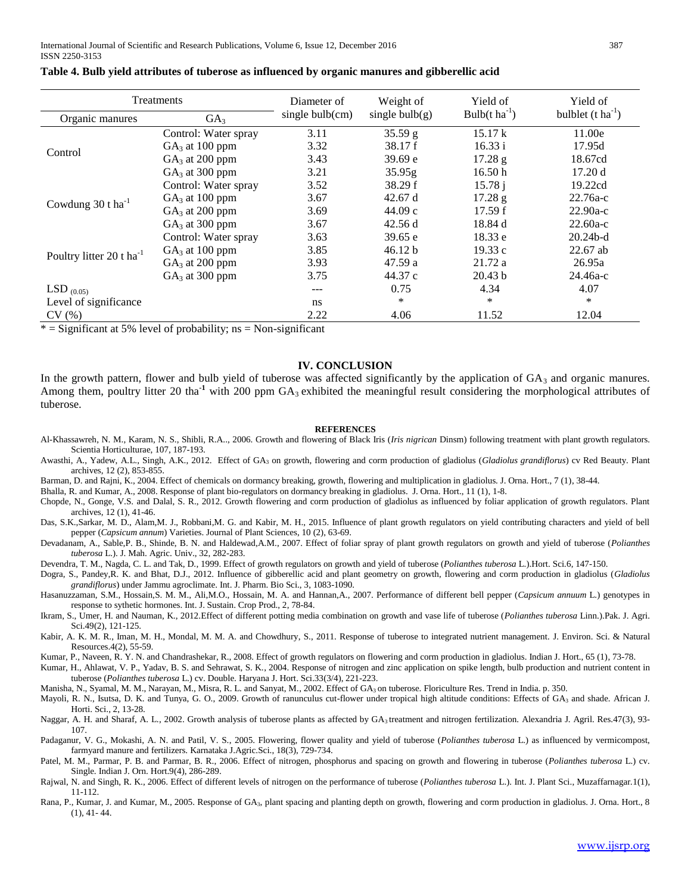|                                      | Treatments           | Diameter of        | Weight of         | Yield of                     | Yield of                      |
|--------------------------------------|----------------------|--------------------|-------------------|------------------------------|-------------------------------|
| Organic manures                      | GA <sub>3</sub>      | single $bulb$ (cm) | single bulb $(g)$ | Bulb( $t$ ha <sup>-1</sup> ) | bulblet $(t \text{ ha}^{-1})$ |
|                                      | Control: Water spray | 3.11               | 35.59 g           | 15.17 k                      | 11.00e                        |
| Control                              | $GA3$ at 100 ppm     | 3.32               | 38.17 f           | 16.33 i                      | 17.95d                        |
|                                      | $GA3$ at 200 ppm     | 3.43               | 39.69 e           | 17.28 g                      | 18.67cd                       |
|                                      | $GA3$ at 300 ppm     | 3.21               | 35.95g            | 16.50h                       | 17.20d                        |
|                                      | Control: Water spray | 3.52               | 38.29 f           | 15.78j                       | 19.22cd                       |
| Cowdung $30$ t ha <sup>-1</sup>      | $GA3$ at 100 ppm     | 3.67               | 42.67 d           | 17.28 g                      | $22.76a-c$                    |
|                                      | $GA3$ at 200 ppm     | 3.69               | 44.09c            | 17.59 f                      | $22.90a-c$                    |
|                                      | $GA3$ at 300 ppm     | 3.67               | 42.56d            | 18.84 d                      | $22.60a-c$                    |
|                                      | Control: Water spray | 3.63               | 39.65 e           | 18.33 e                      | $20.24b-d$                    |
| Poultry litter 20 t ha <sup>-1</sup> | $GA3$ at 100 ppm     | 3.85               | 46.12 b           | 19.33c                       | $22.67$ ab                    |
|                                      | $GA3$ at 200 ppm     | 3.93               | 47.59 a           | 21.72a                       | 26.95a                        |
|                                      | $GA3$ at 300 ppm     | 3.75               | 44.37 c           | 20.43 h                      | $24.46a-c$                    |
| LSD $(0.05)$                         |                      | $---$              | 0.75              | 4.34                         | 4.07                          |
| Level of significance                |                      | ns                 | $\ast$            | $\ast$                       | *                             |
| CV(%)                                |                      | 2.22               | 4.06              | 11.52                        | 12.04                         |

#### **Table 4. Bulb yield attributes of tuberose as influenced by organic manures and gibberellic acid**

 $*$  = Significant at 5% level of probability; ns = Non-significant

#### **IV. CONCLUSION**

In the growth pattern, flower and bulb yield of tuberose was affected significantly by the application of  $GA_3$  and organic manures. Among them, poultry litter 20 tha<sup>-1</sup> with 200 ppm GA<sub>3</sub> exhibited the meaningful result considering the morphological attributes of tuberose.

#### **REFERENCES**

- Al-Khassawreh, N. M., Karam, N. S., Shibli, R.A.., 2006. Growth and flowering of Black Iris (*Iris nigrican* Dinsm) following treatment with plant growth regulators. Scientia Horticulturae, 107, 187-193.
- Awasthi, A., Yadew, A.L., Singh, A.K., 2012. Effect of GA<sup>3</sup> on growth, flowering and corm production of gladiolus (*Gladiolus grandiflorus*) cv Red Beauty. Plant archives, 12 (2), 853-855.
- Barman, D. and Rajni, K., 2004. Effect of chemicals on dormancy breaking, growth, flowering and multiplication in gladiolus. J. Orna. Hort., 7 (1), 38-44.

Bhalla, R. and Kumar, A., 2008. Response of plant bio-regulators on dormancy breaking in gladiolus. J. Orna. Hort., 11 (1), 1-8.

- Chopde, N., Gonge, V.S. and Dalal, S. R., 2012. Growth flowering and corm production of gladiolus as influenced by foliar application of growth regulators. Plant archives, 12 (1), 41-46.
- Das, S.K.,Sarkar, M. D., Alam,M. J., Robbani,M. G. and Kabir, M. H., 2015. Influence of plant growth regulators on yield contributing characters and yield of bell pepper (*Capsicum annum*) Varieties. Journal of Plant Sciences, 10 (2), 63-69.
- Devadanam, A., Sable,P. B., Shinde, B. N. and Haldewad,A.M., 2007. Effect of foliar spray of plant growth regulators on growth and yield of tuberose (*Polianthes tuberosa* L.). J. Mah. Agric. Univ., 32, 282-283.
- Devendra, T. M., Nagda, C. L. and Tak, D., 1999. Effect of growth regulators on growth and yield of tuberose (*Polianthes tuberosa* L.).Hort. Sci*.*6, 147-150.
- Dogra, S., Pandey,R. K. and Bhat, D.J., 2012. Influence of gibberellic acid and plant geometry on growth, flowering and corm production in gladiolus (*Gladiolus grandiflorus*) under Jammu agroclimate. Int. J. Pharm. Bio Sci., 3, 1083-1090.
- Hasanuzzaman, S.M., Hossain,S. M. M., Ali,M.O., Hossain, M. A. and Hannan,A., 2007. Performance of different bell pepper (*Capsicum annuum* L.) genotypes in response to sythetic hormones. Int. J. Sustain. Crop Prod., 2, 78-84.
- Ikram, S., Umer, H. and Nauman, K., 2012.Effect of different potting media combination on growth and vase life of tuberose (*Polianthes tuberosa* Linn.).Pak. J. Agri. Sci.49(2), 121-125.
- Kabir, A. K. M. R., Iman, M. H., Mondal, M. M. A. and Chowdhury, S., 2011. Response of tuberose to integrated nutrient management. J. Environ. Sci. & Natural Resources.4(2), 55-59.
- Kumar, P., Naveen, R. Y. N. and Chandrashekar, R., 2008. Effect of growth regulators on flowering and corm production in gladiolus. Indian J. Hort., 65 (1), 73-78.
- Kumar, H., Ahlawat, V. P., Yadav, B. S. and Sehrawat, S. K., 2004. Response of nitrogen and zinc application on spike length, bulb production and nutrient content in tuberose (*Polianthes tuberosa* L.) cv. Double. Haryana J. Hort. Sci.33(3/4), 221-223.

Manisha, N., Syamal, M. M., Narayan, M., Misra, R. L. and Sanyat, M., 2002. Effect of GA<sub>3</sub> on tuberose. Floriculture Res. Trend in India. p. 350.

- Mayoli, R. N., Isutsa, D. K. and Tunya, G. O., 2009. Growth of ranunculus cut-flower under tropical high altitude conditions: Effects of GA<sub>3</sub> and shade. African J. Horti. Sci., 2, 13-28.
- Naggar, A. H. and Sharaf, A. L., 2002. Growth analysis of tuberose plants as affected by GA<sub>3</sub> treatment and nitrogen fertilization. Alexandria J. Agril. Res.47(3), 93-107.
- Padaganur, V. G., Mokashi, A. N. and Patil, V. S., 2005. Flowering, flower quality and yield of tuberose (*Polianthes tuberosa* L.) as influenced by vermicompost, farmyard manure and fertilizers. Karnataka J.Agric.Sci., 18(3), 729-734.
- Patel, M. M., Parmar, P. B. and Parmar, B. R., 2006. Effect of nitrogen, phosphorus and spacing on growth and flowering in tuberose (*Polianthes tuberosa* L.) cv. Single. Indian J. Orn. Hort.9(4), 286-289.
- Rajwal, N. and Singh, R. K., 2006. Effect of different levels of nitrogen on the performance of tuberose (*Polianthes tuberosa* L.). Int. J. Plant Sci., Muzaffarnagar*.*1(1), 11-112.
- Rana, P., Kumar, J. and Kumar, M., 2005. Response of GA3, plant spacing and planting depth on growth, flowering and corm production in gladiolus. J. Orna. Hort., 8 (1), 41- 44.